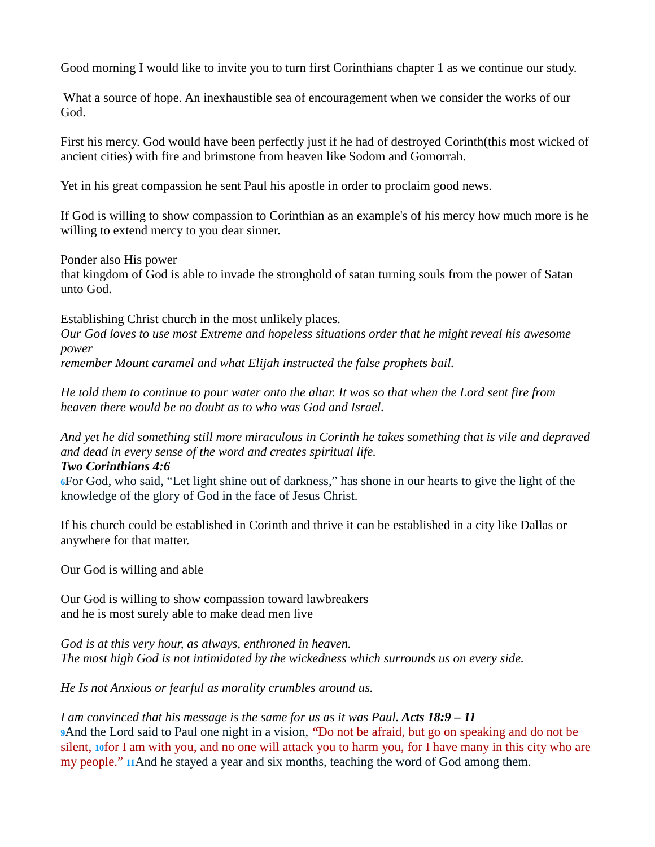Good morning I would like to invite you to turn first Corinthians chapter 1 as we continue our study.

 What a source of hope. An inexhaustible sea of encouragement when we consider the works of our God.

First his mercy. God would have been perfectly just if he had of destroyed Corinth(this most wicked of ancient cities) with fire and brimstone from heaven like Sodom and Gomorrah.

Yet in his great compassion he sent Paul his apostle in order to proclaim good news.

If God is willing to show compassion to Corinthian as an example's of his mercy how much more is he willing to extend mercy to you dear sinner.

Ponder also His power

that kingdom of God is able to invade the stronghold of satan turning souls from the power of Satan unto God.

Establishing Christ church in the most unlikely places.

*Our God loves to use most Extreme and hopeless situations order that he might reveal his awesome power* 

*remember Mount caramel and what Elijah instructed the false prophets bail.* 

*He told them to continue to pour water onto the altar. It was so that when the Lord sent fire from heaven there would be no doubt as to who was God and Israel.* 

*And yet he did something still more miraculous in Corinth he takes something that is vile and depraved and dead in every sense of the word and creates spiritual life.* 

## *Two Corinthians 4:6*

**6**For God, who said, "Let light shine out of darkness," has shone in our hearts to give the light of the knowledge of the glory of God in the face of Jesus Christ.

If his church could be established in Corinth and thrive it can be established in a city like Dallas or anywhere for that matter.

Our God is willing and able

Our God is willing to show compassion toward lawbreakers and he is most surely able to make dead men live

*God is at this very hour, as always, enthroned in heaven. The most high God is not intimidated by the wickedness which surrounds us on every side.* 

*He Is not Anxious or fearful as morality crumbles around us.* 

# *I am convinced that his message is the same for us as it was Paul. Acts 18:9 – 11*

**9**And the Lord said to Paul one night in a vision, *"*Do not be afraid, but go on speaking and do not be silent, **10**for I am with you, and no one will attack you to harm you, for I have many in this city who are my people." **11**And he stayed a year and six months, teaching the word of God among them.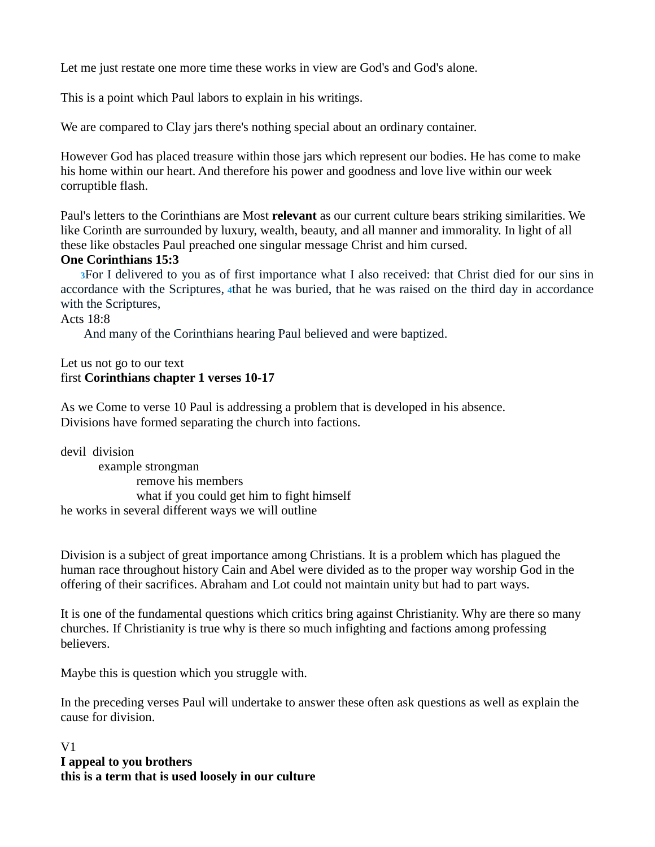Let me just restate one more time these works in view are God's and God's alone.

This is a point which Paul labors to explain in his writings.

We are compared to Clay jars there's nothing special about an ordinary container.

However God has placed treasure within those jars which represent our bodies. He has come to make his home within our heart. And therefore his power and goodness and love live within our week corruptible flash.

Paul's letters to the Corinthians are Most **relevant** as our current culture bears striking similarities. We like Corinth are surrounded by luxury, wealth, beauty, and all manner and immorality. In light of all these like obstacles Paul preached one singular message Christ and him cursed.

# **One Corinthians 15:3**

**3**For I delivered to you as of first importance what I also received: that Christ died for our sins in accordance with the Scriptures, **4**that he was buried, that he was raised on the third day in accordance with the Scriptures,

### Acts 18:8

And many of the Corinthians hearing Paul believed and were baptized.

### Let us not go to our text first **Corinthians chapter 1 verses 10-17**

As we Come to verse 10 Paul is addressing a problem that is developed in his absence. Divisions have formed separating the church into factions.

devil division example strongman remove his members what if you could get him to fight himself he works in several different ways we will outline

Division is a subject of great importance among Christians. It is a problem which has plagued the human race throughout history Cain and Abel were divided as to the proper way worship God in the offering of their sacrifices. Abraham and Lot could not maintain unity but had to part ways.

It is one of the fundamental questions which critics bring against Christianity. Why are there so many churches. If Christianity is true why is there so much infighting and factions among professing believers.

Maybe this is question which you struggle with.

In the preceding verses Paul will undertake to answer these often ask questions as well as explain the cause for division.

## V1 **I appeal to you brothers this is a term that is used loosely in our culture**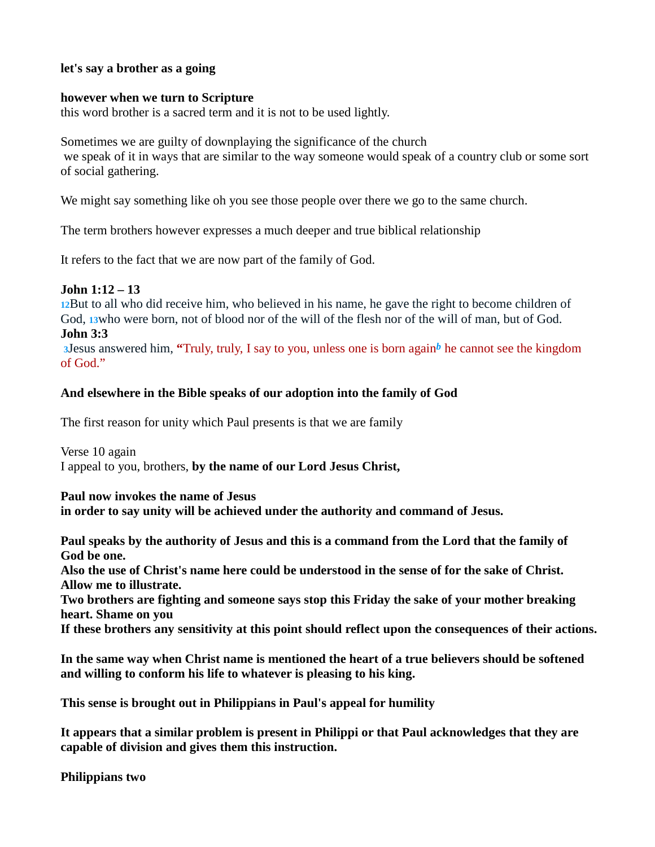## **let's say a brother as a going**

### **however when we turn to Scripture**

this word brother is a sacred term and it is not to be used lightly.

Sometimes we are guilty of downplaying the significance of the church we speak of it in ways that are similar to the way someone would speak of a country club or some sort of social gathering.

We might say something like oh you see those people over there we go to the same church.

The term brothers however expresses a much deeper and true biblical relationship

It refers to the fact that we are now part of the family of God.

## **John 1:12 – 13**

**12**But to all who did receive him, who believed in his name, he gave the right to become children of God, **13**who were born, not of blood nor of the will of the flesh nor of the will of man, but of God. **John 3:3** 

**<sup>3</sup>**Jesus answered him, **"**Truly, truly, I say to you, unless one is born again*b* he cannot see the kingdom of God."

## **And elsewhere in the Bible speaks of our adoption into the family of God**

The first reason for unity which Paul presents is that we are family

Verse 10 again I appeal to you, brothers, **by the name of our Lord Jesus Christ,**

**Paul now invokes the name of Jesus** 

**in order to say unity will be achieved under the authority and command of Jesus.**

**Paul speaks by the authority of Jesus and this is a command from the Lord that the family of God be one.** 

**Also the use of Christ's name here could be understood in the sense of for the sake of Christ. Allow me to illustrate.** 

**Two brothers are fighting and someone says stop this Friday the sake of your mother breaking heart. Shame on you** 

**If these brothers any sensitivity at this point should reflect upon the consequences of their actions.** 

**In the same way when Christ name is mentioned the heart of a true believers should be softened and willing to conform his life to whatever is pleasing to his king.** 

**This sense is brought out in Philippians in Paul's appeal for humility** 

**It appears that a similar problem is present in Philippi or that Paul acknowledges that they are capable of division and gives them this instruction.**

**Philippians two**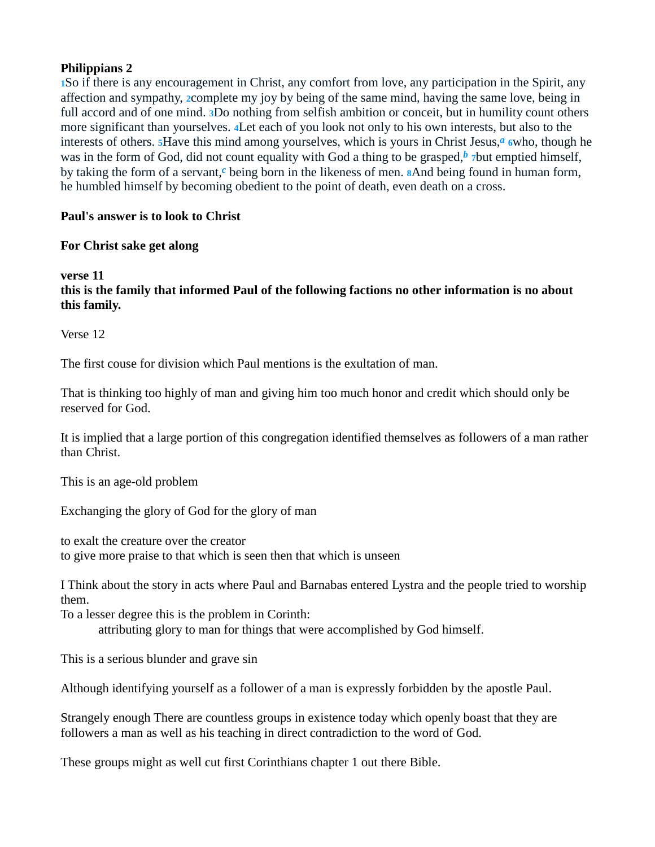# **Philippians 2**

**1**So if there is any encouragement in Christ, any comfort from love, any participation in the Spirit, any affection and sympathy, **2**complete my joy by being of the same mind, having the same love, being in full accord and of one mind. **3**Do nothing from selfish ambition or conceit, but in humility count others more significant than yourselves. **4**Let each of you look not only to his own interests, but also to the interests of others. **5**Have this mind among yourselves, which is yours in Christ Jesus,*a* **<sup>6</sup>**who, though he was in the form of God, did not count equality with God a thing to be grasped, $\frac{b}{b}$  *7*but emptied himself, by taking the form of a servant,*c* being born in the likeness of men. **8**And being found in human form, he humbled himself by becoming obedient to the point of death, even death on a cross.

# **Paul's answer is to look to Christ**

# **For Christ sake get along**

### **verse 11 this is the family that informed Paul of the following factions no other information is no about this family.**

Verse 12

The first couse for division which Paul mentions is the exultation of man.

That is thinking too highly of man and giving him too much honor and credit which should only be reserved for God.

It is implied that a large portion of this congregation identified themselves as followers of a man rather than Christ.

This is an age-old problem

Exchanging the glory of God for the glory of man

to exalt the creature over the creator to give more praise to that which is seen then that which is unseen

I Think about the story in acts where Paul and Barnabas entered Lystra and the people tried to worship them.

To a lesser degree this is the problem in Corinth:

attributing glory to man for things that were accomplished by God himself.

This is a serious blunder and grave sin

Although identifying yourself as a follower of a man is expressly forbidden by the apostle Paul.

Strangely enough There are countless groups in existence today which openly boast that they are followers a man as well as his teaching in direct contradiction to the word of God.

These groups might as well cut first Corinthians chapter 1 out there Bible.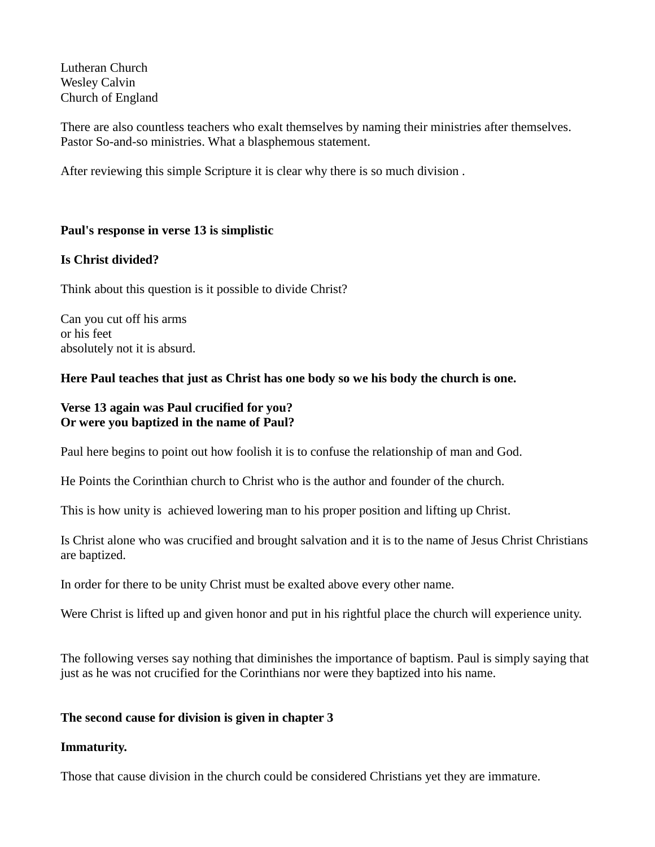Lutheran Church Wesley Calvin Church of England

There are also countless teachers who exalt themselves by naming their ministries after themselves. Pastor So-and-so ministries. What a blasphemous statement.

After reviewing this simple Scripture it is clear why there is so much division .

# **Paul's response in verse 13 is simplistic**

## **Is Christ divided?**

Think about this question is it possible to divide Christ?

Can you cut off his arms or his feet absolutely not it is absurd.

## **Here Paul teaches that just as Christ has one body so we his body the church is one.**

## **Verse 13 again was Paul crucified for you? Or were you baptized in the name of Paul?**

Paul here begins to point out how foolish it is to confuse the relationship of man and God.

He Points the Corinthian church to Christ who is the author and founder of the church.

This is how unity is achieved lowering man to his proper position and lifting up Christ.

Is Christ alone who was crucified and brought salvation and it is to the name of Jesus Christ Christians are baptized.

In order for there to be unity Christ must be exalted above every other name.

Were Christ is lifted up and given honor and put in his rightful place the church will experience unity.

The following verses say nothing that diminishes the importance of baptism. Paul is simply saying that just as he was not crucified for the Corinthians nor were they baptized into his name.

# **The second cause for division is given in chapter 3**

### **Immaturity.**

Those that cause division in the church could be considered Christians yet they are immature.